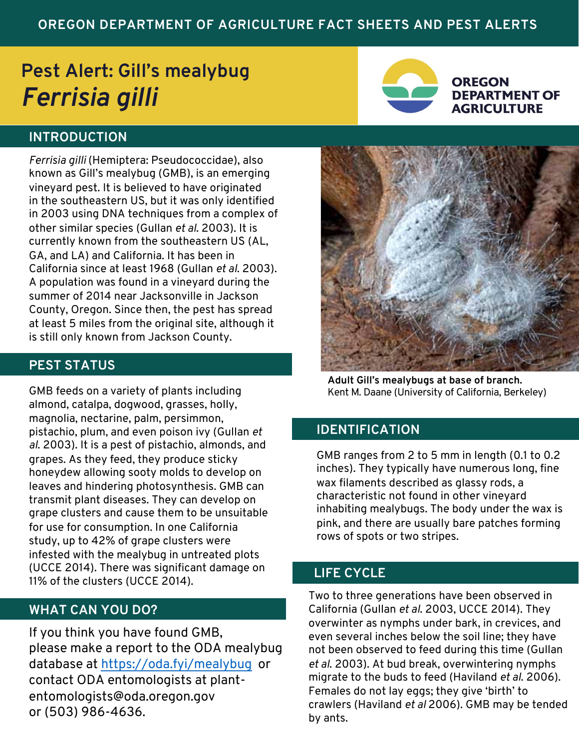# **OREGON DEPARTMENT OF AGRICULTURE FACT SHEETS AND PEST ALERTS**

# **Pest Alert: Gill's mealybug** *Ferrisia gilli*



#### **OREGON DEPARTMENT OF AGRICULTURE**

## **INTRODUCTION**

*Ferrisia gilli* (Hemiptera: Pseudococcidae), also known as Gill's mealybug (GMB), is an emerging vineyard pest. It is believed to have originated in the southeastern US, but it was only identified in 2003 using DNA techniques from a complex of other similar species (Gullan *et al*. 2003). It is currently known from the southeastern US (AL, GA, and LA) and California. It has been in California since at least 1968 (Gullan *et al*. 2003). A population was found in a vineyard during the summer of 2014 near Jacksonville in Jackson County, Oregon. Since then, the pest has spread at least 5 miles from the original site, although it is still only known from Jackson County.

## **PEST STATUS**

GMB feeds on a variety of plants including almond, catalpa, dogwood, grasses, holly, magnolia, nectarine, palm, persimmon, pistachio, plum, and even poison ivy (Gullan *et al*. 2003). It is a pest of pistachio, almonds, and grapes. As they feed, they produce sticky honeydew allowing sooty molds to develop on leaves and hindering photosynthesis. GMB can transmit plant diseases. They can develop on grape clusters and cause them to be unsuitable for use for consumption. In one California study, up to 42% of grape clusters were infested with the mealybug in untreated plots (UCCE 2014). There was significant damage on 11% of the clusters (UCCE 2014).

### **WHAT CAN YOU DO?**

If you think you have found GMB, please make a report to the ODA mealybug database at<https://oda.fyi/mealybug> or contact ODA entomologists at plantentomologists@oda.oregon.gov or (503) 986-4636.



**Adult Gill's mealybugs at base of branch.** Kent M. Daane (University of California, Berkeley)

## **IDENTIFICATION**

GMB ranges from 2 to 5 mm in length (0.1 to 0.2 inches). They typically have numerous long, fine wax filaments described as glassy rods, a characteristic not found in other vineyard inhabiting mealybugs. The body under the wax is pink, and there are usually bare patches forming rows of spots or two stripes.

# **LIFE CYCLE**

Two to three generations have been observed in California (Gullan *et al*. 2003, UCCE 2014). They overwinter as nymphs under bark, in crevices, and even several inches below the soil line; they have not been observed to feed during this time (Gullan *et al*. 2003). At bud break, overwintering nymphs migrate to the buds to feed (Haviland *et al*. 2006). Females do not lay eggs; they give 'birth' to crawlers (Haviland *et al* 2006). GMB may be tended by ants.